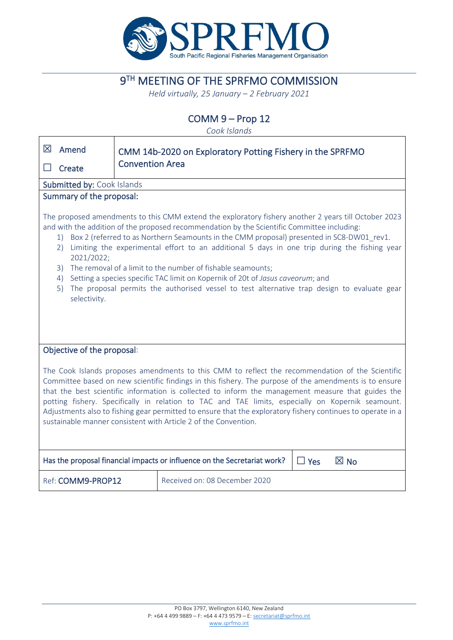

# **9TH MEETING OF THE SPRFMO COMMISSION**

*Held virtually, 25 January – 2 February 2021*

COMM 9 – Prop 12

*Cook Islands*

| 区                                                                                                                                                                                                                                                                                                                                                                                                                                                                                                                                                                                                                                                                                                            | Amend             |                        | CMM 14b-2020 on Exploratory Potting Fishery in the SPRFMO |  |  |  |  |
|--------------------------------------------------------------------------------------------------------------------------------------------------------------------------------------------------------------------------------------------------------------------------------------------------------------------------------------------------------------------------------------------------------------------------------------------------------------------------------------------------------------------------------------------------------------------------------------------------------------------------------------------------------------------------------------------------------------|-------------------|------------------------|-----------------------------------------------------------|--|--|--|--|
|                                                                                                                                                                                                                                                                                                                                                                                                                                                                                                                                                                                                                                                                                                              | Create            | <b>Convention Area</b> |                                                           |  |  |  |  |
| Submitted by: Cook Islands                                                                                                                                                                                                                                                                                                                                                                                                                                                                                                                                                                                                                                                                                   |                   |                        |                                                           |  |  |  |  |
| Summary of the proposal:                                                                                                                                                                                                                                                                                                                                                                                                                                                                                                                                                                                                                                                                                     |                   |                        |                                                           |  |  |  |  |
| The proposed amendments to this CMM extend the exploratory fishery another 2 years till October 2023<br>and with the addition of the proposed recommendation by the Scientific Committee including:<br>Box 2 (referred to as Northern Seamounts in the CMM proposal) presented in SC8-DW01_rev1.<br>1)<br>Limiting the experimental effort to an additional 5 days in one trip during the fishing year<br>2)<br>2021/2022;<br>The removal of a limit to the number of fishable seamounts;<br>3)<br>Setting a species specific TAC limit on Kopernik of 20t of Jasus caveorum; and<br>4)<br>The proposal permits the authorised vessel to test alternative trap design to evaluate gear<br>5)<br>selectivity. |                   |                        |                                                           |  |  |  |  |
| Objective of the proposal:                                                                                                                                                                                                                                                                                                                                                                                                                                                                                                                                                                                                                                                                                   |                   |                        |                                                           |  |  |  |  |
| The Cook Islands proposes amendments to this CMM to reflect the recommendation of the Scientific<br>Committee based on new scientific findings in this fishery. The purpose of the amendments is to ensure<br>that the best scientific information is collected to inform the management measure that guides the<br>potting fishery. Specifically in relation to TAC and TAE limits, especially on Kopernik seamount.<br>Adjustments also to fishing gear permitted to ensure that the exploratory fishery continues to operate in a<br>sustainable manner consistent with Article 2 of the Convention.                                                                                                      |                   |                        |                                                           |  |  |  |  |
| Has the proposal financial impacts or influence on the Secretariat work?<br>$\boxtimes$ No<br>$\Box$ Yes                                                                                                                                                                                                                                                                                                                                                                                                                                                                                                                                                                                                     |                   |                        |                                                           |  |  |  |  |
|                                                                                                                                                                                                                                                                                                                                                                                                                                                                                                                                                                                                                                                                                                              | Ref: COMM9-PROP12 |                        | Received on: 08 December 2020                             |  |  |  |  |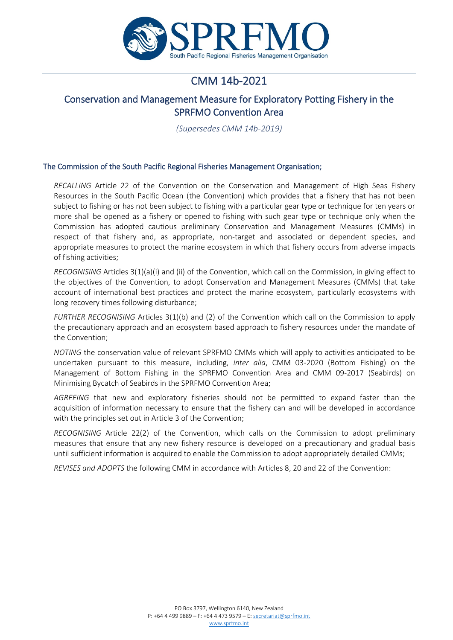

## CMM 14b-2021

## Conservation and Management Measure for Exploratory Potting Fishery in the SPRFMO Convention Area

*(Supersedes CMM 14b-2019)*

#### The Commission of the South Pacific Regional Fisheries Management Organisation;

*RECALLING* Article 22 of the Convention on the Conservation and Management of High Seas Fishery Resources in the South Pacific Ocean (the Convention) which provides that a fishery that has not been subject to fishing or has not been subject to fishing with a particular gear type or technique for ten years or more shall be opened as a fishery or opened to fishing with such gear type or technique only when the Commission has adopted cautious preliminary Conservation and Management Measures (CMMs) in respect of that fishery and, as appropriate, non-target and associated or dependent species, and appropriate measures to protect the marine ecosystem in which that fishery occurs from adverse impacts of fishing activities;

*RECOGNISING* Articles 3(1)(a)(i) and (ii) of the Convention, which call on the Commission, in giving effect to the objectives of the Convention, to adopt Conservation and Management Measures (CMMs) that take account of international best practices and protect the marine ecosystem, particularly ecosystems with long recovery times following disturbance;

*FURTHER RECOGNISING* Articles 3(1)(b) and (2) of the Convention which call on the Commission to apply the precautionary approach and an ecosystem based approach to fishery resources under the mandate of the Convention;

*NOTING* the conservation value of relevant SPRFMO CMMs which will apply to activities anticipated to be undertaken pursuant to this measure, including, *inter alia*, CMM 03-2020 (Bottom Fishing) on the Management of Bottom Fishing in the SPRFMO Convention Area and CMM 09-2017 (Seabirds) on Minimising Bycatch of Seabirds in the SPRFMO Convention Area;

*AGREEING* that new and exploratory fisheries should not be permitted to expand faster than the acquisition of information necessary to ensure that the fishery can and will be developed in accordance with the principles set out in Article 3 of the Convention;

*RECOGNISING* Article 22(2) of the Convention, which calls on the Commission to adopt preliminary measures that ensure that any new fishery resource is developed on a precautionary and gradual basis until sufficient information is acquired to enable the Commission to adopt appropriately detailed CMMs;

*REVISES and ADOPTS* the following CMM in accordance with Articles 8, 20 and 22 of the Convention: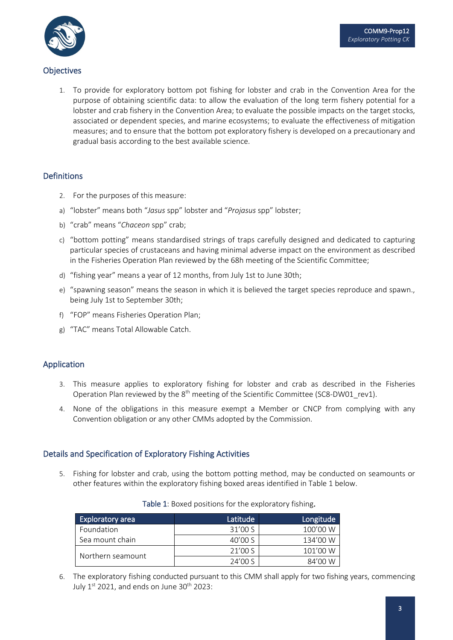

## **Objectives**

1. To provide for exploratory bottom pot fishing for lobster and crab in the Convention Area for the purpose of obtaining scientific data: to allow the evaluation of the long term fishery potential for a lobster and crab fishery in the Convention Area; to evaluate the possible impacts on the target stocks, associated or dependent species, and marine ecosystems; to evaluate the effectiveness of mitigation measures; and to ensure that the bottom pot exploratory fishery is developed on a precautionary and gradual basis according to the best available science.

### Definitions

- 2. For the purposes of this measure:
- a) "lobster" means both "*Jasus* spp" lobster and "*Projasus* spp" lobster;
- b) "crab" means "*Chaceon* spp" crab;
- c) "bottom potting" means standardised strings of traps carefully designed and dedicated to capturing particular species of crustaceans and having minimal adverse impact on the environment as described in the Fisheries Operation Plan reviewed by the 68h meeting of the Scientific Committee;
- d) "fishing year" means a year of 12 months, from July 1st to June 30th;
- e) "spawning season" means the season in which it is believed the target species reproduce and spawn., being July 1st to September 30th;
- f) "FOP" means Fisheries Operation Plan;
- g) "TAC" means Total Allowable Catch.

#### Application

- 3. This measure applies to exploratory fishing for lobster and crab as described in the Fisheries Operation Plan reviewed by the  $8<sup>th</sup>$  meeting of the Scientific Committee (SC8-DW01 rev1).
- 4. None of the obligations in this measure exempt a Member or CNCP from complying with any Convention obligation or any other CMMs adopted by the Commission.

#### Details and Specification of Exploratory Fishing Activities

5. Fishing for lobster and crab, using the bottom potting method, may be conducted on seamounts or other features within the exploratory fishing boxed areas identified in Table 1 below.

| <b>Exploratory area</b> | Latitude | Longitude |
|-------------------------|----------|-----------|
| Foundation              | 31'00 S  | 100'00 W  |
| Sea mount chain         | 40'00 S  | 134'00 W  |
|                         | 21'00 S  | 101'00 W  |
| Northern seamount       | 24'00 S  | 84'00 W   |

#### Table 1: Boxed positions for the exploratory fishing.

6. The exploratory fishing conducted pursuant to this CMM shall apply for two fishing years, commencing July  $1^{st}$  2021, and ends on June 30<sup>th</sup> 2023: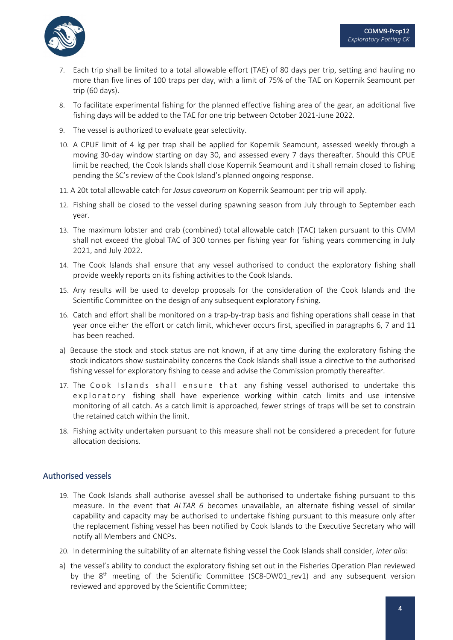

- 7. Each trip shall be limited to a total allowable effort (TAE) of 80 days per trip, setting and hauling no more than five lines of 100 traps per day, with a limit of 75% of the TAE on Kopernik Seamount per trip (60 days).
- 8. To facilitate experimental fishing for the planned effective fishing area of the gear, an additional five fishing days will be added to the TAE for one trip between October 2021-June 2022.
- 9. The vessel is authorized to evaluate gear selectivity.
- 10. A CPUE limit of 4 kg per trap shall be applied for Kopernik Seamount, assessed weekly through a moving 30-day window starting on day 30, and assessed every 7 days thereafter. Should this CPUE limit be reached, the Cook Islands shall close Kopernik Seamount and it shall remain closed to fishing pending the SC's review of the Cook Island's planned ongoing response.
- 11. A 20t total allowable catch for *Jasus caveorum* on Kopernik Seamount per trip will apply.
- 12. Fishing shall be closed to the vessel during spawning season from July through to September each year.
- 13. The maximum lobster and crab (combined) total allowable catch (TAC) taken pursuant to this CMM shall not exceed the global TAC of 300 tonnes per fishing year for fishing years commencing in July 2021, and July 2022.
- 14. The Cook Islands shall ensure that any vessel authorised to conduct the exploratory fishing shall provide weekly reports on its fishing activities to the Cook Islands.
- 15. Any results will be used to develop proposals for the consideration of the Cook Islands and the Scientific Committee on the design of any subsequent exploratory fishing.
- 16. Catch and effort shall be monitored on a trap-by-trap basis and fishing operations shall cease in that year once either the effort or catch limit, whichever occurs first, specified in paragraphs 6, 7 and 11 has been reached.
- a) Because the stock and stock status are not known, if at any time during the exploratory fishing the stock indicators show sustainability concerns the Cook Islands shall issue a directive to the authorised fishing vessel for exploratory fishing to cease and advise the Commission promptly thereafter.
- 17. The Cook Islands shall ensure that any fishing vessel authorised to undertake this exploratory fishing shall have experience working within catch limits and use intensive monitoring of all catch. As a catch limit is approached, fewer strings of traps will be set to constrain the retained catch within the limit.
- 18. Fishing activity undertaken pursuant to this measure shall not be considered a precedent for future allocation decisions.

#### Authorised vessels

- 19. The Cook Islands shall authorise avessel shall be authorised to undertake fishing pursuant to this measure. In the event that *ALTAR 6* becomes unavailable, an alternate fishing vessel of similar capability and capacity may be authorised to undertake fishing pursuant to this measure only after the replacement fishing vessel has been notified by Cook Islands to the Executive Secretary who will notify all Members and CNCPs.
- 20. In determining the suitability of an alternate fishing vessel the Cook Islands shall consider, *inter alia*:
- a) the vessel's ability to conduct the exploratory fishing set out in the Fisheries Operation Plan reviewed by the  $8<sup>th</sup>$  meeting of the Scientific Committee (SC8-DW01 rev1) and any subsequent version reviewed and approved by the Scientific Committee;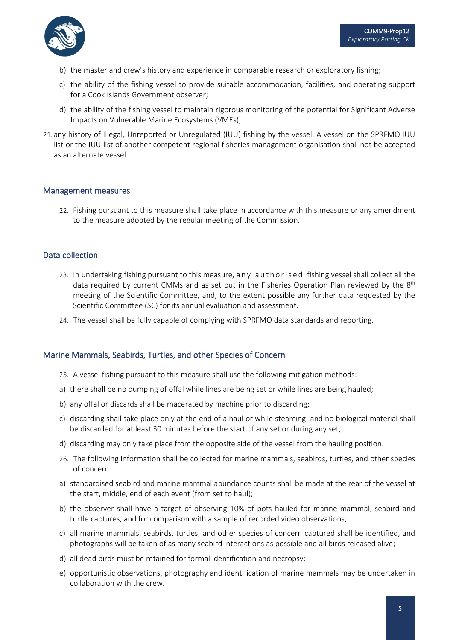

- b) the master and crew's history and experience in comparable research or exploratory fishing;
- c) the ability of the fishing vessel to provide suitable accommodation, facilities, and operating support for a Cook Islands Government observer;
- d) the ability of the fishing vessel to maintain rigorous monitoring of the potential for Significant Adverse Impacts on Vulnerable Marine Ecosystems (VMEs);
- 21. any history of Illegal, Unreported or Unregulated (IUU) fishing by the vessel. A vessel on the SPRFMO IUU list or the IUU list of another competent regional fisheries management organisation shall not be accepted as an alternate vessel.

#### Management measures

22. Fishing pursuant to this measure shall take place in accordance with this measure or any amendment to the measure adopted by the regular meeting of the Commission.

#### Data collection

- 23. In undertaking fishing pursuant to this measure, any authorised fishing vessel shall collect all the data required by current CMMs and as set out in the Fisheries Operation Plan reviewed by the 8<sup>th</sup> meeting of the Scientific Committee, and, to the extent possible any further data requested by the Scientific Committee (SC) for its annual evaluation and assessment.
- 24. The vessel shall be fully capable of complying with SPRFMO data standards and reporting.

#### Marine Mammals, Seabirds, Turtles, and other Species of Concern

- 25. A vessel fishing pursuant to this measure shall use the following mitigation methods:
- a) there shall be no dumping of offal while lines are being set or while lines are being hauled;
- b) any offal or discards shall be macerated by machine prior to discarding;
- c) discarding shall take place only at the end of a haul or while steaming; and no biological material shall be discarded for at least 30 minutes before the start of any set or during any set;
- d) discarding may only take place from the opposite side of the vessel from the hauling position.
- 26. The following information shall be collected for marine mammals, seabirds, turtles, and other species of concern:
- a) standardised seabird and marine mammal abundance counts shall be made at the rear of the vessel at the start, middle, end of each event (from set to haul);
- b) the observer shall have a target of observing 10% of pots hauled for marine mammal, seabird and turtle captures, and for comparison with a sample of recorded video observations;
- c) all marine mammals, seabirds, turtles, and other species of concern captured shall be identified, and photographs will be taken of as many seabird interactions as possible and all birds released alive;
- d) all dead birds must be retained for formal identification and necropsy;
- e) opportunistic observations, photography and identification of marine mammals may be undertaken in collaboration with the crew.